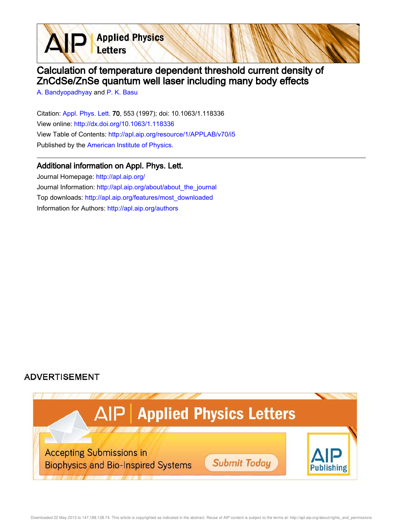Calculation of temperature dependent threshold current density of ZnCdSe/ZnSe quantum well laser including many body effects

A. Bandyopadhyay and P. K. Basu

Citation: Appl. Phys. Lett. 70, 553 (1997); doi: 10.1063/1.118336 View online: http://dx.doi.org/10.1063/1.118336 View Table of Contents: http://apl.aip.org/resource/1/APPLAB/v70/i5 Published by the American Institute of Physics.

**Applied Physics** 

Letters

## Additional information on Appl. Phys. Lett.

Journal Homepage: http://apl.aip.org/ Journal Information: http://apl.aip.org/about/about\_the\_journal Top downloads: http://apl.aip.org/features/most\_downloaded Information for Authors: http://apl.aip.org/authors

## **ADVERTISEMENT**

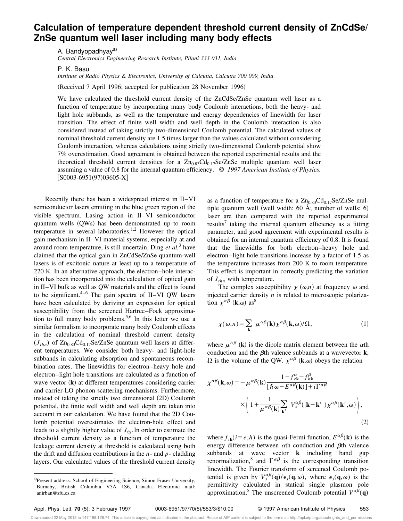## **Calculation of temperature dependent threshold current density of ZnCdSe/ ZnSe quantum well laser including many body effects**

A. Bandyopadhyay<sup>a)</sup>

*Central Electronics Engineering Research Institute, Pilani 333 031, India*

P. K. Basu

*Institute of Radio Physics & Electronics, University of Calcutta, Calcutta 700 009, India*

(Received 7 April 1996; accepted for publication 28 November 1996)

We have calculated the threshold current density of the ZnCdSe/ZnSe quantum well laser as a function of temperature by incorporating many body Coulomb interactions, both the heavy- and light hole subbands, as well as the temperature and energy dependencies of linewidth for laser transition. The effect of finite well width and well depth in the Coulomb interaction is also considered instead of taking strictly two-dimensional Coulomb potential. The calculated values of nominal threshold current density are 1.5 times larger than the values calculated without considering Coulomb interaction, whereas calculations using strictly two-dimensional Coulomb potential show 7% overestimation. Good agreement is obtained between the reported experimental results and the theoretical threshold current densities for a  $Zn_{0.83}Cd_{0.17}Se/ZnSe$  multiple quantum well laser assuming a value of 0.8 for the internal quantum efficiency. © *1997 American Institute of Physics.*  $[SO003-6951(97)03605-X]$ 

Recently there has been a widespread interest in II–VI semiconductor lasers emitting in the blue green region of the visible spectrum. Lasing action in II–VI semiconductor quantum wells (QWs) has been demonstrated up to room temperature in several laboratories.<sup>1,2</sup> However the optical gain mechanism in II–VI material systems, especially at and around room temperature, is still uncertain. Ding *et al.*<sup>3</sup> have claimed that the optical gain in ZnCdSe/ZnSe quantum-well lasers is of excitonic nature at least up to a temperature of 220 K. In an alternative approach, the electron–hole interaction has been incorporated into the calculation of optical gain in II–VI bulk as well as QW materials and the effect is found to be significant.<sup>4–6</sup> The gain spectra of II–VI OW lasers have been calculated by deriving an expression for optical susceptibility from the screened Hartree–Fock approximation to full many body problems.<sup>5,6</sup> In this letter we use a similar formalism to incorporate many body Coulomb effects in the calculation of nominal threshold current density  $(J_{thn})$  of  $Zn_{0.83}Cd_{0.17}Se/ZnSe$  quantum well lasers at different temperatures. We consider both heavy- and light-hole subbands in calculating absorption and spontaneous recombination rates. The linewidths for electron–heavy hole and electron–light hole transitions are calculated as a function of wave vector  $(\mathbf{k})$  at different temperatures considering carrier and carrier-LO phonon scattering mechanisms. Furthermore, instead of taking the strictly two dimensional  $(2D)$  Coulomb potential, the finite well width and well depth are taken into account in our calculation. We have found that the 2D Coulomb potential overestimates the electron-hole effect and leads to a slightly higher value of  $J<sub>th</sub>$ . In order to estimate the threshold current density as a function of temperature the leakage current density at threshold is calculated using both the drift and diffusion contributions in the *n*- and *p*- cladding layers. Our calculated values of the threshold current density

as a function of temperature for a  $Zn_{0.83}Cd_{0.17}Se/ZnSe$  multiple quantum well (well width:  $60 \text{ Å}$ ; number of wells: 6) laser are then compared with the reported experimental results<sup>7</sup> taking the internal quantum efficiency as a fitting parameter, and good agreement with experimental results is obtained for an internal quantum efficiency of 0.8. It is found that the linewidths for both electron–heavy hole and electron–light hole transitions increase by a factor of 1.5 as the temperature increases from 200 K to room temperature. This effect is important in correctly predicting the variation of *Jthn* with temperature.

The complex susceptibility  $\chi(\omega,n)$  at frequency  $\omega$  and injected carrier density *n* is related to microscopic polarization  $\chi^{\alpha\beta}$  (**k**, $\omega$ ) as<sup>8</sup>

$$
\chi(\omega, n) = \sum_{\mathbf{k}} \ \mu^{\alpha\beta}(\mathbf{k}) \chi^{\alpha\beta}(\mathbf{k}, \omega) / \Omega, \tag{1}
$$

where  $\mu^{\alpha\beta}$  (k) is the dipole matrix element between the  $\alpha$ th conduction and the  $\beta$ th valence subbands at a wavevector **k**,  $\Omega$  is the volume of the QW.  $\chi^{\alpha\beta}$  (k,  $\omega$ ) obeys the relation

$$
\chi^{\alpha\beta}(\mathbf{k},\omega) = -\mu^{\alpha\beta}(\mathbf{k}) \frac{1 - f_{e\mathbf{k}}^{\alpha} - f_{h\mathbf{k}}^{\beta}}{[\hbar\omega - E^{\alpha\beta}(\mathbf{k})] + i\Gamma^{\alpha\beta}} \times \left(1 + \frac{1}{\mu^{\alpha\beta}(\mathbf{k})} \sum_{\mathbf{k}'} V_{s}^{\alpha\beta}(|\mathbf{k} - \mathbf{k}'|) \chi^{\alpha\beta}(\mathbf{k}',\omega)\right),
$$
\n(2)

where  $f_{ik}$  ( $i = e, h$ ) is the quasi-Fermi function,  $E^{\alpha\beta}$  (**k**) is the energy difference between  $\alpha$ th conduction and  $\beta$ th valence subbands at wave vector **k** including band gap renormalization,<sup>8</sup> and  $\Gamma^{\alpha\beta}$  is the corresponding transition linewidth. The Fourier transform of screened Coulomb potential is given by  $V_s^{\alpha\beta}(\mathbf{q})/\epsilon_s(\mathbf{q},\omega)$ , where  $\epsilon_s(\mathbf{q},\omega)$  is the permittivity calculated in statical single plasmon pole approximation.<sup>8</sup> The unscreened Coulomb potential  $V^{\alpha\bar{\beta}}(\mathbf{q})$ 

a)Present address: School of Engineering Science, Simon Fraser University, Burnaby, British Columbia V5A 1S6, Canada. Electronic mail: anirban@sfu.cs.ca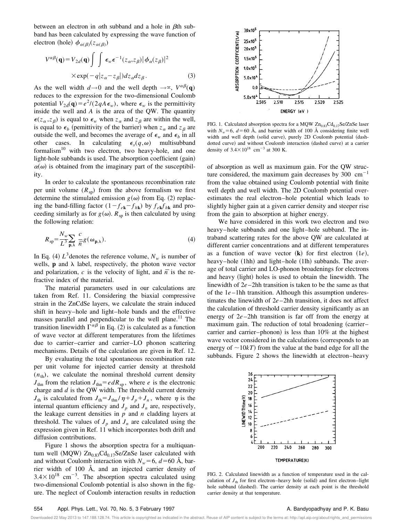between an electron in  $\alpha$ th subband and a hole in  $\beta$ th subband has been calculated by expressing the wave function of electron (hole)  $\phi_{\alpha(\beta)}(z_{\alpha(\beta)})$ 

$$
V^{\alpha\beta}(\mathbf{q}) = V_{2d}(\mathbf{q}) \int \int \epsilon_w \epsilon^{-1}(z_\alpha, z_\beta) |\phi_\alpha(z_\beta)|^2
$$
  
× $\exp(-q|z_\alpha - z_\beta|) dz_\alpha dz_\beta$ . (3)

As the well width  $d \rightarrow 0$  and the well depth  $\rightarrow \infty$ ,  $V^{\alpha\beta}(\mathbf{q})$ reduces to the expression for the two-dimensional Coulomb potential  $V_{2d}(\mathbf{q}) = e^2/(2qA\epsilon_w)$ , where  $\epsilon_w$  is the permittivity inside the well and *A* is the area of the QW. The quantity  $\epsilon(z_\alpha, z_\beta)$  is equal to  $\epsilon_w$  when  $z_\alpha$  and  $z_\beta$  are within the well, is equal to  $\epsilon_b$  (pemittivity of the barrier) when  $z_\alpha$  and  $z_\beta$  are outside the well, and becomes the average of  $\epsilon_w$  and  $\epsilon_b$  in all other cases. In calculating  $\epsilon_s(q,\omega)$  multisubband formalism<sup>10</sup> with two electron, two heavy-hole, and one light-hole subbands is used. The absorption coefficient (gain)  $\alpha(\omega)$  is obtained from the imaginary part of the susceptibility.

In order to calculate the spontaneous recombination rate per unit volume  $(R_{sp})$  from the above formalism we first determine the stimulated emission  $g(\omega)$  from Eq. (2) replacing the band-filling factor  $(1 - f_{ek} - f_{hk})$  by  $f_{ek}f_{hk}$  and proceeding similarly as for  $g(\omega)$ .  $R_{sp}$  is then calculated by using the following relation:

$$
R_{\rm sp} = \frac{N_{\rm w}}{L^3} \sum_{\mathbf{p},\lambda} \frac{c}{\bar{n}} g(\omega_{\mathbf{p},\lambda}).
$$
 (4)

In Eq. (4)  $L^3$  denotes the reference volume,  $N_w$  is number of wells,  $\bf{p}$  and  $\lambda$  label, respectively, the photon wave vector and polarization, *c* is the velocity of light, and  $\overline{n}$  is the refractive index of the material.

The material parameters used in our calculations are taken from Ref. 11. Considering the biaxial compressive strain in the ZnCdSe layers, we calculate the strain induced shift in heavy–hole and light–hole bands and the effective masses parallel and perpendicular to the well plane.<sup>11</sup> The transition linewidth  $\Gamma^{\alpha\beta}$  in Eq. (2) is calculated as a function of wave vector at different temperatures from the lifetimes due to carrier–carrier and carrier–LO phonon scattering mechanisms. Details of the calculation are given in Ref. 12.

By evaluating the total spontaneous recombination rate per unit volume for injected carrier density at threshold  $(n<sub>th</sub>)$ , we calculate the nominal threshold current density  $J_{\text{thn}}$  from the relation  $J_{\text{thn}} = e dR_{\text{sp}}$ , where *e* is the electronic charge and *d* is the QW width. The threshold current density  $J_{th}$  is calculated from  $J_{th} = J_{thn}/\eta + J_p + J_n$ , where  $\eta$  is the internal quantum efficiency and  $J_p$  and  $J_n$  are, respectively, the leakage current densities in  $p$  and  $n$  cladding layers at threshold. The values of  $J_p$  and  $J_n$  are calculated using the expression given in Ref. 11 which incorporates both drift and diffusion contributions.

Figure 1 shows the absorption spectra for a multiquantum well (MQW)  $Zn_{0.83}Cd_{0.17}Se/ZnSe$  laser calculated with and without Coulomb interaction with  $N_w = 6$ ,  $d = 60$  Å, barrier width of 100 Å, and an injected carrier density of  $3.4 \times 10^{18}$  cm<sup>-3</sup>. The absorption spectra calculated using two-dimensional Coulomb potential is also shown in the figure. The neglect of Coulomb interaction results in reduction



FIG. 1. Calculated absorption spectra for a MQW  $Zn_{0.83}Cd_{0.17}Se/ZnSe$  laser with  $N_w = 6$ ,  $d = 60$  Å, and barrier width of 100 Å considering finite well width and well depth (solid curve), purely 2D Coulomb potential (dashdotted curve) and without Coulomb interaction (dashed curve) at a carrier density of  $3.4 \times 10^{18}$  cm<sup>-3</sup> at 300 K.

of absorption as well as maximum gain. For the QW structure considered, the maximum gain decreases by 300  $cm^{-1}$ from the value obtained using Coulomb potential with finite well depth and well width. The 2D Coulomb potential overestimates the real electron–hole potential which leads to slightly higher gain at a given carrier density and steeper rise from the gain to absorption at higher energy.

We have considered in this work two electron and two heavy–hole subbands and one light–hole subband. The intraband scattering rates for the above QW are calculated at different carrier concentrations and at different temperatures as a function of wave vector  $(**k**)$  for first electron  $(1e)$ , heavy–hole  $(1hh)$  and light–hole  $(1lh)$  subbands. The average of total carrier and LO-phonon broadenings for electrons and heavy (light) holes is used to obtain the linewidth. The linewidth of 2*e* –2hh transition is taken to be the same as that of the 1*e* –1hh transition. Although this assumption underestimates the linewidth of 2*e* –2hh transition, it does not affect the calculation of threshold carrier density significantly as an energy of 2*e* –2hh transition is far off from the energy at maximum gain. The reduction of total broadening (carrier– carrier and carrier–phonon) is less than  $10\%$  at the highest wave vector considered in the calculations (corresponds to an energy of  $\sim$ 10*kT*) from the value at the band edge for all the subbands. Figure 2 shows the linewidth at electron–heavy



FIG. 2. Calculated linewidth as a function of temperature used in the calculation of  $J<sub>th</sub>$  for first electron–heavy hole (solid) and first electron–light hole subband (dashed). The carrier density at each point is the threshold carrier density at that temperature.

Downloaded 22 May 2013 to 147.188.128.74. This article is copyrighted as indicated in the abstract. Reuse of AIP content is subject to the terms at: http://apl.aip.org/about/rights\_and\_permissions